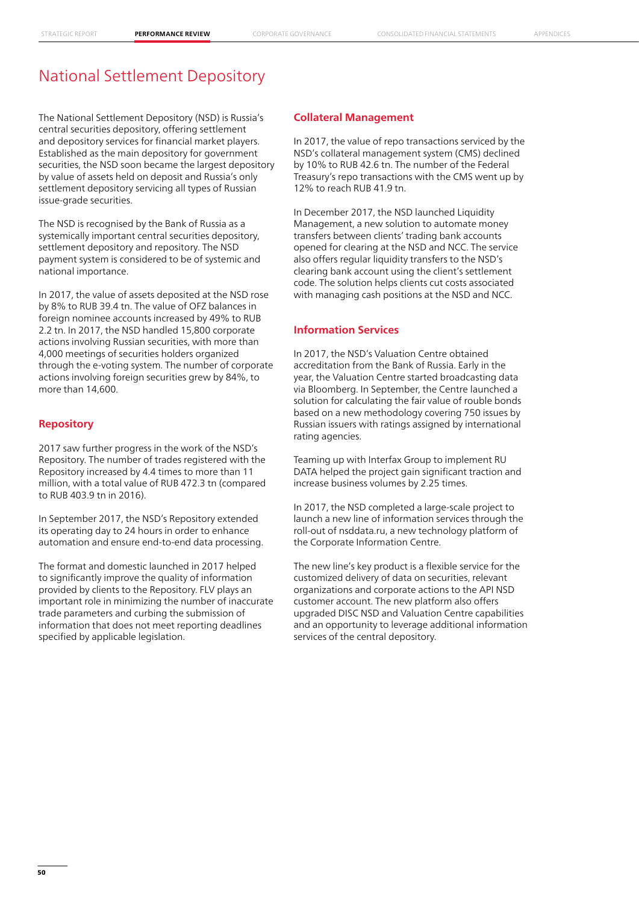# National Settlement Depository

The National Settlement Depository (NSD) is Russia's central securities depository, offering settlement and depository services for financial market players. Established as the main depository for government securities, the NSD soon became the largest depository by value of assets held on deposit and Russia's only settlement depository servicing all types of Russian issue-grade securities.

The NSD is recognised by the Bank of Russia as a systemically important central securities depository, settlement depository and repository. The NSD payment system is considered to be of systemic and national importance.

In 2017, the value of assets deposited at the NSD rose by 8% to RUB 39.4 tn. The value of OFZ balances in foreign nominee accounts increased by 49% to RUB 2.2 tn. In 2017, the NSD handled 15,800 corporate actions involving Russian securities, with more than 4,000 meetings of securities holders organized through the e-voting system. The number of corporate actions involving foreign securities grew by 84%, to more than 14,600.

### **Repository**

2017 saw further progress in the work of the NSD's Repository. The number of trades registered with the Repository increased by 4.4 times to more than 11 million, with a total value of RUB 472.3 tn (compared to RUB 403.9 tn in 2016).

In September 2017, the NSD's Repository extended its operating day to 24 hours in order to enhance automation and ensure end-to-end data processing.

The format and domestic launched in 2017 helped to significantly improve the quality of information provided by clients to the Repository. FLV plays an important role in minimizing the number of inaccurate trade parameters and curbing the submission of information that does not meet reporting deadlines specified by applicable legislation.

### **Collateral Management**

In 2017, the value of repo transactions serviced by the NSD's collateral management system (CMS) declined by 10% to RUB 42.6 tn. The number of the Federal Treasury's repo transactions with the CMS went up by 12% to reach RUB 41.9 tn.

In December 2017, the NSD launched Liquidity Management, a new solution to automate money transfers between clients' trading bank accounts opened for clearing at the NSD and NCC. The service also offers regular liquidity transfers to the NSD's clearing bank account using the client's settlement code. The solution helps clients cut costs associated with managing cash positions at the NSD and NCC.

## **Information Services**

In 2017, the NSD's Valuation Centre obtained accreditation from the Bank of Russia. Early in the year, the Valuation Centre started broadcasting data via Bloomberg. In September, the Centre launched a solution for calculating the fair value of rouble bonds based on a new methodology covering 750 issues by Russian issuers with ratings assigned by international rating agencies.

Teaming up with Interfax Group to implement RU DATA helped the project gain significant traction and increase business volumes by 2.25 times.

In 2017, the NSD completed a large-scale project to launch a new line of information services through the roll-out of nsddata.ru, a new technology platform of the Corporate Information Centre.

The new line's key product is a flexible service for the customized delivery of data on securities, relevant organizations and corporate actions to the API NSD customer account. The new platform also offers upgraded DISC NSD and Valuation Centre capabilities and an opportunity to leverage additional information services of the central depository.